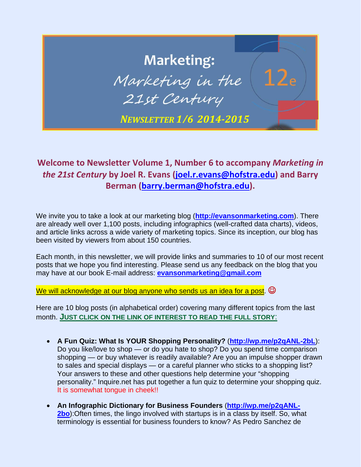# **Marketing:** Marketing in the 21st Century *NEWSLETTER 1/6 2014‐2015*

### **Welcome to Newsletter Volume 1, Number 6 to accompany** *Marketing in the 21st Century* **by Joel R. Evans (joel.r.evans@hofstra.edu) and Barry Berman (barry.berman@hofstra.edu).**

We invite you to take a look at our marketing blog (**http://evansonmarketing.com**). There are already well over 1,100 posts, including infographics (well-crafted data charts), videos, and article links across a wide variety of marketing topics. Since its inception, our blog has been visited by viewers from about 150 countries.

Each month, in this newsletter, we will provide links and summaries to 10 of our most recent posts that we hope you find interesting. Please send us any feedback on the blog that you may have at our book E-mail address: **evansonmarketing@gmail.com**

We will acknowledge at our blog anyone who sends us an idea for a post.  $\odot$ 

- **A Fun Quiz: What Is YOUR Shopping Personality?** (**http://wp.me/p2qANL-2bL**): Do you like/love to shop — or do you hate to shop? Do you spend time comparison shopping — or buy whatever is readily available? Are you an impulse shopper drawn to sales and special displays — or a careful planner who sticks to a shopping list? Your answers to these and other questions help determine your "shopping personality." Inquire.net has put together a fun quiz to determine your shopping quiz. It is somewhat tongue in cheek!!
- **An Infographic Dictionary for Business Founders** (**http://wp.me/p2qANL-2bo**):Often times, the lingo involved with startups is in a class by itself. So, what terminology is essential for business founders to know? As Pedro Sanchez de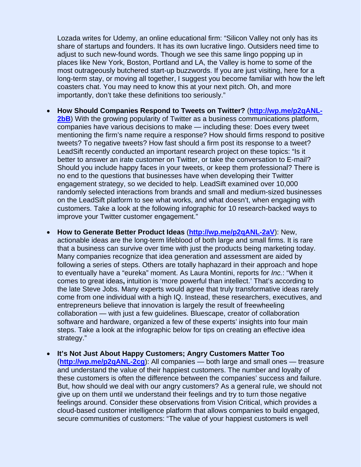Lozada writes for Udemy, an online educational firm: "Silicon Valley not only has its share of startups and founders. It has its own lucrative lingo. Outsiders need time to adjust to such new-found words. Though we see this same lingo popping up in places like New York, Boston, Portland and LA, the Valley is home to some of the most outrageously butchered start-up buzzwords. If you are just visiting, here for a long-term stay, or moving all together, I suggest you become familiar with how the left coasters chat. You may need to know this at your next pitch. Oh, and more importantly, don't take these definitions too seriously."

- **How Should Companies Respond to Tweets on Twitter?** (**http://wp.me/p2qANL-2bB**) With the growing popularity of Twitter as a business communications platform, companies have various decisions to make — including these: Does every tweet mentioning the firm's name require a response? How should firms respond to positive tweets? To negative tweets? How fast should a firm post its response to a tweet? LeadSift recently conducted an important research project on these topics: "Is it better to answer an irate customer on Twitter, or take the conversation to E-mail? Should you include happy faces in your tweets, or keep them professional? There is no end to the questions that businesses have when developing their Twitter engagement strategy, so we decided to help. LeadSift examined over 10,000 randomly selected interactions from brands and small and medium-sized businesses on the LeadSift platform to see what works, and what doesn't, when engaging with customers. Take a look at the following infographic for 10 research-backed ways to improve your Twitter customer engagement."
- **How to Generate Better Product Ideas** (**http://wp.me/p2qANL-2aV**): New, actionable ideas are the long-term lifeblood of both large and small firms. It is rare that a business can survive over time with just the products being marketing today. Many companies recognize that idea generation and assessment are aided by following a series of steps. Others are totally haphazard in their approach and hope to eventually have a "eureka" moment. As Laura Montini, reports for *Inc.*: "When it comes to great ideas**,** intuition is 'more powerful than intellect.' That's according to the late Steve Jobs. Many experts would agree that truly transformative ideas rarely come from one individual with a high IQ. Instead, these researchers, executives, and entrepreneurs believe that innovation is largely the result of freewheeling collaboration — with just a few guidelines. Bluescape, creator of collaboration software and hardware, organized a few of these experts' insights into four main steps. Take a look at the infographic below for tips on creating an effective idea strategy."
- **It's Not Just About Happy Customers; Angry Customers Matter Too** (**http://wp.me/p2qANL-2cg**): All companies — both large and small ones — treasure and understand the value of their happiest customers. The number and loyalty of these customers is often the difference between the companies' success and failure. But, how should we deal with our angry customers? As a general rule, we should not give up on them until we understand their feelings and try to turn those negative feelings around. Consider these observations from Vision Critical, which provides a cloud-based customer intelligence platform that allows companies to build engaged, secure communities of customers: "The value of your happiest customers is well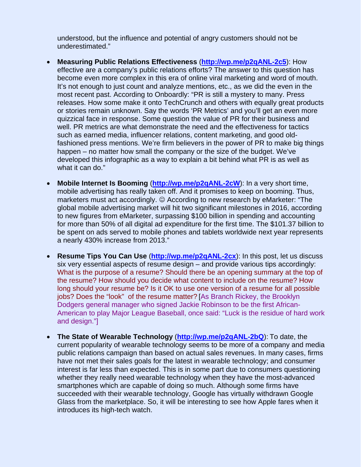understood, but the influence and potential of angry customers should not be underestimated."

- **Measuring Public Relations Effectiveness** (**http://wp.me/p2qANL-2c5**): How effective are a company's public relations efforts? The answer to this question has become even more complex in this era of online viral marketing and word of mouth. It's not enough to just count and analyze mentions, etc., as we did the even in the most recent past. According to Onboardly: "PR is still a mystery to many. Press releases. How some make it onto TechCrunch and others with equally great products or stories remain unknown. Say the words 'PR Metrics' and you'll get an even more quizzical face in response. Some question the value of PR for their business and well. PR metrics are what demonstrate the need and the effectiveness for tactics such as earned media, influencer relations, content marketing, and good oldfashioned press mentions. We're firm believers in the power of PR to make big things happen – no matter how small the company or the size of the budget. We've developed this infographic as a way to explain a bit behind what PR is as well as what it can do."
- **Mobile Internet Is Booming** (**http://wp.me/p2qANL-2cW**): In a very short time, mobile advertising has really taken off. And it promises to keep on booming. Thus, marketers must act accordingly.  $\odot$  According to new research by eMarketer: "The global mobile advertising market will hit two significant milestones in 2016, according to new figures from eMarketer, surpassing \$100 billion in spending and accounting for more than 50% of all digital ad expenditure for the first time. The \$101.37 billion to be spent on ads served to mobile phones and tablets worldwide next year represents a nearly 430% increase from 2013."
- **Resume Tips You Can Use** (**http://wp.me/p2qANL-2cx**): In this post, let us discuss six very essential aspects of resume design – and provide various tips accordingly: What is the purpose of a resume? Should there be an opening summary at the top of the resume? How should you decide what content to include on the resume? How long should your resume be? Is it OK to use one version of a resume for all possible jobs? Does the "look" of the resume matter? [As Branch Rickey, the Brooklyn Dodgers general manager who signed Jackie Robinson to be the first African-American to play Major League Baseball, once said: "Luck is the residue of hard work and design."]
- **The State of Wearable Technology** (**http://wp.me/p2qANL-2bQ**): To date, the current popularity of wearable technology seems to be more of a company and media public relations campaign than based on actual sales revenues. In many cases, firms have not met their sales goals for the latest in wearable technology; and consumer interest is far less than expected. This is in some part due to consumers questioning whether they really need wearable technology when they have the most-advanced smartphones which are capable of doing so much. Although some firms have succeeded with their wearable technology, Google has virtually withdrawn Google Glass from the marketplace. So, it will be interesting to see how Apple fares when it introduces its high-tech watch.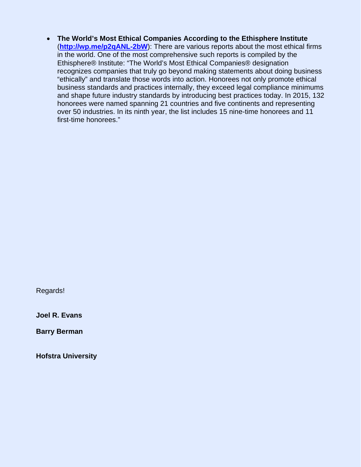**The World's Most Ethical Companies According to the Ethisphere Institute** (**http://wp.me/p2qANL-2bW**): There are various reports about the most ethical firms in the world. One of the most comprehensive such reports is compiled by the Ethisphere® Institute: "The World's Most Ethical Companies® designation recognizes companies that truly go beyond making statements about doing business "ethically" and translate those words into action. Honorees not only promote ethical business standards and practices internally, they exceed legal compliance minimums and shape future industry standards by introducing best practices today. In 2015, 132 honorees were named spanning 21 countries and five continents and representing over 50 industries. In its ninth year, the list includes 15 nine-time honorees and 11 first-time honorees."

Regards!

**Joel R. Evans** 

**Barry Berman**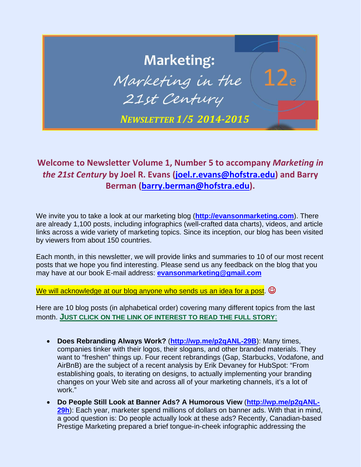# **Marketing:** Marketing in the 21st Century *NEWSLETTER 1/5 2014‐2015*

### **Welcome to Newsletter Volume 1, Number 5 to accompany** *Marketing in the 21st Century* **by Joel R. Evans (joel.r.evans@hofstra.edu) and Barry Berman (barry.berman@hofstra.edu).**

We invite you to take a look at our marketing blog (**http://evansonmarketing.com**). There are already 1,100 posts, including infographics (well-crafted data charts), videos, and article links across a wide variety of marketing topics. Since its inception, our blog has been visited by viewers from about 150 countries.

Each month, in this newsletter, we will provide links and summaries to 10 of our most recent posts that we hope you find interesting. Please send us any feedback on the blog that you may have at our book E-mail address: **evansonmarketing@gmail.com**

We will acknowledge at our blog anyone who sends us an idea for a post.  $\odot$ 

- **Does Rebranding Always Work?** (**http://wp.me/p2qANL-29B**): Many times, companies tinker with their logos, their slogans, and other branded materials. They want to "freshen" things up. Four recent rebrandings (Gap, Starbucks, Vodafone, and AirBnB) are the subject of a recent analysis by Erik Devaney for HubSpot: "From establishing goals, to iterating on designs, to actually implementing your branding changes on your Web site and across all of your marketing channels, it's a lot of work."
- **Do People Still Look at Banner Ads? A Humorous View** (**http://wp.me/p2qANL-29h**): Each year, marketer spend millions of dollars on banner ads. With that in mind, a good question is: Do people actually look at these ads? Recently, Canadian-based Prestige Marketing prepared a brief tongue-in-cheek infographic addressing the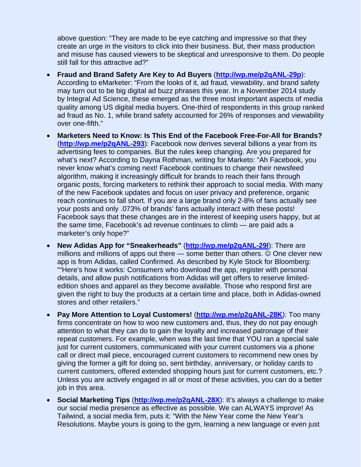above question: "They are made to be eye catching and impressive so that they create an urge in the visitors to click into their business. But, their mass production and misuse has caused viewers to be skeptical and unresponsive to them. Do people still fall for this attractive ad?"

- **Fraud and Brand Safety Are Key to Ad Buyers** (**http://wp.me/p2qANL-29p**): According to eMarketer: "From the looks of it, ad fraud, viewability, and brand safety may turn out to be big digital ad buzz phrases this year. In a November 2014 study by Integral Ad Science, these emerged as the three most important aspects of media quality among US digital media buyers. One-third of respondents in this group ranked ad fraud as No. 1, while brand safety accounted for 26% of responses and viewability over one-fifth."
- **Marketers Need to Know: Is This End of the Facebook Free-For-All for Brands?** (**http://wp.me/p2qANL-293**): Facebook now derives several billions a year from its advertising fees to companies. But the rules keep changing. Are you prepared for what's next? According to Dayna Rothman, writing for Marketo: "Ah Facebook, you never know what's coming next! Facebook continues to change their newsfeed algorithm, making it increasingly difficult for brands to reach their fans through organic posts, forcing marketers to rethink their approach to social media. With many of the new Facebook updates and focus on user privacy and preference, organic reach continues to fall short. If you are a large brand only 2-8% of fans actually see your posts and only .073% of brands' fans actually interact with these posts! Facebook says that these changes are in the interest of keeping users happy, but at the same time, Facebook's ad revenue continues to climb — are paid ads a marketer's only hope?"
- **New Adidas App for "Sneakerheads"** (**http://wp.me/p2qANL-29l**): There are millions and millions of apps out there  $-$  some better than others.  $\odot$  One clever new app is from Adidas, called Confirmed. As described by Kyle Stock for Bloomberg: ""Here's how it works: Consumers who download the app, register with personal details, and allow push notifications from Adidas will get offers to reserve limitededition shoes and apparel as they become available. Those who respond first are given the right to buy the products at a certain time and place, both in Adidas-owned stores and other retailers."
- **Pay More Attention to Loyal Customers!** (**http://wp.me/p2qANL-28K**): Too many firms concentrate on how to woo new customers and, thus, they do not pay enough attention to what they can do to gain the loyalty and increased patronage of their repeat customers. For example, when was the last time that YOU ran a special sale just for current customers, communicated with your current customers via a phone call or direct mail piece, encouraged current customers to recommend new ones by giving the former a gift for doing so, sent birthday, anniversary, or holiday cards to current customers, offered extended shopping hours just for current customers, etc.? Unless you are actively engaged in all or most of these activities, you can do a better job in this area.
- **Social Marketing Tips** (**http://wp.me/p2qANL-28X**): It's always a challenge to make our social media presence as effective as possible. We can ALWAYS improve! As Tailwind, a social media firm, puts it: "With the New Year come the New Year's Resolutions. Maybe yours is going to the gym, learning a new language or even just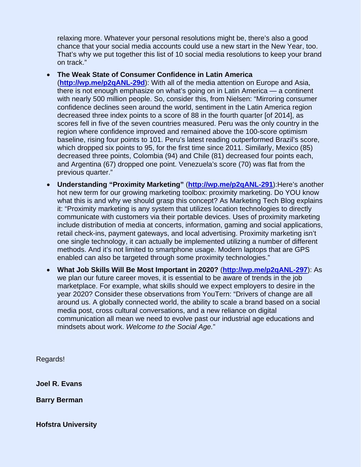relaxing more. Whatever your personal resolutions might be, there's also a good chance that your social media accounts could use a new start in the New Year, too. That's why we put together this list of 10 social media resolutions to keep your brand on track."

#### **The Weak State of Consumer Confidence in Latin America**

(**http://wp.me/p2qANL-29d**): With all of the media attention on Europe and Asia, there is not enough emphasize on what's going on in Latin America — a continent with nearly 500 million people. So, consider this, from Nielsen: "Mirroring consumer confidence declines seen around the world, sentiment in the Latin America region decreased three index points to a score of 88 in the fourth quarter [of 2014], as scores fell in five of the seven countries measured. Peru was the only country in the region where confidence improved and remained above the 100-score optimism baseline, rising four points to 101. Peru's latest reading outperformed Brazil's score, which dropped six points to 95, for the first time since 2011. Similarly, Mexico (85) decreased three points, Colombia (94) and Chile (81) decreased four points each, and Argentina (67) dropped one point. Venezuela's score (70) was flat from the previous quarter."

- **Understanding "Proximity Marketing"** (**http://wp.me/p2qANL-291**):Here's another hot new term for our growing marketing toolbox: proximity marketing. Do YOU know what this is and why we should grasp this concept? As Marketing Tech Blog explains it: "Proximity marketing is any system that utilizes location technologies to directly communicate with customers via their portable devices. Uses of proximity marketing include distribution of media at concerts, information, gaming and social applications, retail check-ins, payment gateways, and local advertising. Proximity marketing isn't one single technology, it can actually be implemented utilizing a number of different methods. And it's not limited to smartphone usage. Modern laptops that are GPS enabled can also be targeted through some proximity technologies."
- **What Job Skills Will Be Most Important in 2020?** (**http://wp.me/p2qANL-297**): As we plan our future career moves, it is essential to be aware of trends in the job marketplace. For example, what skills should we expect employers to desire in the year 2020? Consider these observations from YouTern: "Drivers of change are all around us. A globally connected world, the ability to scale a brand based on a social media post, cross cultural conversations, and a new reliance on digital communication all mean we need to evolve past our industrial age educations and mindsets about work. *Welcome to the Social Age.*"

Regards!

**Joel R. Evans** 

**Barry Berman**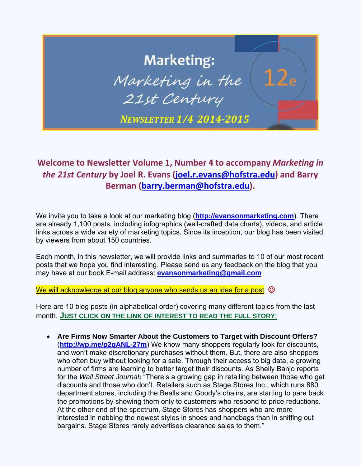## **Marketing:** Marketing in the 21st Century *NEWSLETTER 1/4 2014‐2015*

### **Welcome to Newsletter Volume 1, Number 4 to accompany** *Marketing in the 21st Century* **by Joel R. Evans (joel.r.evans@hofstra.edu) and Barry Berman (barry.berman@hofstra.edu).**

We invite you to take a look at our marketing blog (**http://evansonmarketing.com**). There are already 1,100 posts, including infographics (well-crafted data charts), videos, and article links across a wide variety of marketing topics. Since its inception, our blog has been visited by viewers from about 150 countries.

Each month, in this newsletter, we will provide links and summaries to 10 of our most recent posts that we hope you find interesting. Please send us any feedback on the blog that you may have at our book E-mail address: **evansonmarketing@gmail.com**

We will acknowledge at our blog anyone who sends us an idea for a post.  $\odot$ 

Here are 10 blog posts (in alphabetical order) covering many different topics from the last month. **JUST CLICK ON THE LINK OF INTEREST TO READ THE FULL STORY**:

 **Are Firms Now Smarter About the Customers to Target with Discount Offers?** (**http://wp.me/p2qANL-27m**) We know many shoppers regularly look for discounts, and won't make discretionary purchases without them. But, there are also shoppers who often buy without looking for a sale. Through their access to big data, a growing number of firms are learning to better target their discounts. As Shelly Banjo reports for the *Wall Street Journal***:** "There's a growing gap in retailing between those who get discounts and those who don't. Retailers such as Stage Stores Inc., which runs 880 department stores, including the Bealls and Goody's chains, are starting to pare back the promotions by showing them only to customers who respond to price reductions. At the other end of the spectrum, Stage Stores has shoppers who are more interested in nabbing the newest styles in shoes and handbags than in sniffing out bargains. Stage Stores rarely advertises clearance sales to them."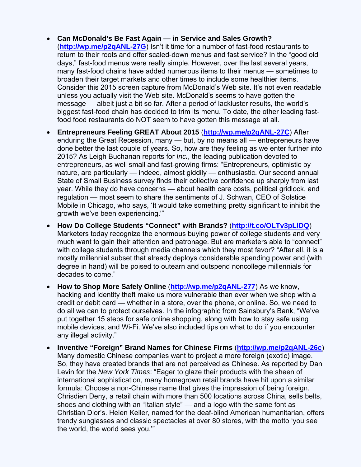- **Can McDonald's Be Fast Again in Service and Sales Growth?**  (**http://wp.me/p2qANL-27G**) Isn't it time for a number of fast-food restaurants to return to their roots and offer scaled-down menus and fast service? In the "good old days," fast-food menus were really simple. However, over the last several years, many fast-food chains have added numerous items to their menus — sometimes to broaden their target markets and other times to include some healthier items. Consider this 2015 screen capture from McDonald's Web site. It's not even readable unless you actually visit the Web site. McDonald's seems to have gotten the message — albeit just a bit so far. After a period of lackluster results, the world's biggest fast-food chain has decided to trim its menu. To date, the other leading fastfood food restaurants do NOT seem to have gotten this message at all.
- **Entrepreneurs Feeling GREAT About 2015** (**http://wp.me/p2qANL-27C**) After enduring the Great Recession, many — but, by no means all — entrepreneurs have done better the last couple of years. So, how are they feeling as we enter further into 2015? As Leigh Buchanan reports for *Inc.*, the leading publication devoted to entrepreneurs, as well small and fast-growing firms: "Entrepreneurs, optimistic by nature, are particularly — indeed, almost giddily — enthusiastic. Our second annual State of Small Business survey finds their collective confidence up sharply from last year. While they do have concerns — about health care costs, political gridlock, and regulation — most seem to share the sentiments of J. Schwan, CEO of Solstice Mobile in Chicago, who says, 'It would take something pretty significant to inhibit the growth we've been experiencing.'"
- **How Do College Students "Connect" with Brands?** (**http://t.co/OLTv3pLlDQ**) Marketers today recognize the enormous buying power of college students and very much want to gain their attention and patronage. But are marketers able to "connect" with college students through media channels which they most favor? "After all, it is a mostly millennial subset that already deploys considerable spending power and (with degree in hand) will be poised to outearn and outspend noncollege millennials for decades to come."
- **How to Shop More Safely Online** (**http://wp.me/p2qANL-277**) As we know, hacking and identity theft make us more vulnerable than ever when we shop with a credit or debit card — whether in a store, over the phone, or online. So, we need to do all we can to protect ourselves. In the infographic from Sainsbury's Bank, "We've put together 15 steps for safe online shopping, along with how to stay safe using mobile devices, and Wi-Fi. We've also included tips on what to do if you encounter any illegal activity."
- **Inventive "Foreign" Brand Names for Chinese Firms** (**http://wp.me/p2qANL-26c**) Many domestic Chinese companies want to project a more foreign (exotic) image. So, they have created brands that are not perceived as Chinese. As reported by Dan Levin for the *New York Times*: "Eager to glaze their products with the sheen of international sophistication, many homegrown retail brands have hit upon a similar formula: Choose a non-Chinese name that gives the impression of being foreign. Chrisdien Deny, a retail chain with more than 500 locations across China, sells belts, shoes and clothing with an "Italian style" — and a logo with the same font as Christian Dior's. Helen Keller, named for the deaf-blind American humanitarian, offers trendy sunglasses and classic spectacles at over 80 stores, with the motto 'you see the world, the world sees you.'"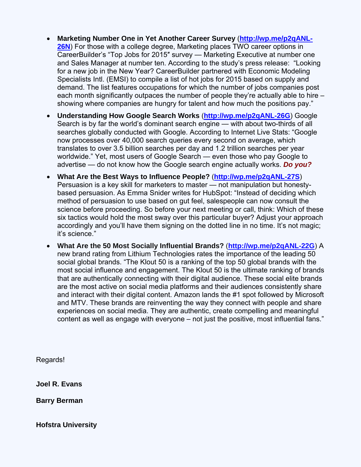- **Marketing Number One in Yet Another Career Survey** (**http://wp.me/p2qANL-26N**) For those with a college degree, Marketing places TWO career options in CareerBuilder's "Top Jobs for 2015″ survey — Marketing Executive at number one and Sales Manager at number ten. According to the study's press release: "Looking for a new job in the New Year? CareerBuilder partnered with Economic Modeling Specialists Intl. (EMSI) to compile a list of hot jobs for 2015 based on supply and demand. The list features occupations for which the number of jobs companies post each month significantly outpaces the number of people they're actually able to hire – showing where companies are hungry for talent and how much the positions pay."
- **Understanding How Google Search Works** (**http://wp.me/p2qANL-26G**) Google Search is by far the world's dominant search engine — with about two-thirds of all searches globally conducted with Google. According to Internet Live Stats: "Google now processes over 40,000 search queries every second on average, which translates to over 3.5 billion searches per day and 1.2 trillion searches per year worldwide." Yet, most users of Google Search — even those who pay Google to advertise — do not know how the Google search engine actually works. *Do you?*
- **What Are the Best Ways to Influence People?** (**http://wp.me/p2qANL-27S**) Persuasion is a key skill for marketers to master — not manipulation but honestybased persuasion. As Emma Snider writes for HubSpot: "Instead of deciding which method of persuasion to use based on gut feel, salespeople can now consult the science before proceeding. So before your next meeting or call, think: Which of these six tactics would hold the most sway over this particular buyer? Adjust your approach accordingly and you'll have them signing on the dotted line in no time. It's not magic; it's science."
- **What Are the 50 Most Socially Influential Brands?** (**http://wp.me/p2qANL-22G**) A new brand rating from Lithium Technologies rates the importance of the leading 50 social global brands. "The Klout 50 is a ranking of the top 50 global brands with the most social influence and engagement. The Klout 50 is the ultimate ranking of brands that are authentically connecting with their digital audience. These social elite brands are the most active on social media platforms and their audiences consistently share and interact with their digital content. Amazon lands the #1 spot followed by Microsoft and MTV. These brands are reinventing the way they connect with people and share experiences on social media. They are authentic, create compelling and meaningful content as well as engage with everyone – not just the positive, most influential fans."

Regards!

**Joel R. Evans** 

**Barry Berman**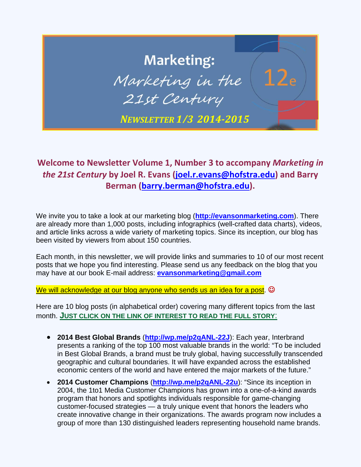## **Marketing:** Marketing in the 21st Century *NEWSLETTER 1/3 2014‐2015*

### **Welcome to Newsletter Volume 1, Number 3 to accompany** *Marketing in the 21st Century* **by Joel R. Evans ([joel.r.evans@hofstra.edu\)](mailto:joel.r.evans@hofstra.edu) and Barry Berman [\(barry.berman@hofstra.edu](mailto:barry.berman@hofstra.edu)).**

We invite you to take a look at our marketing blog (**<http://evansonmarketing.com>**). There are already more than 1,000 posts, including infographics (well-crafted data charts), videos, and article links across a wide variety of marketing topics. Since its inception, our blog has been visited by viewers from about 150 countries.

Each month, in this newsletter, we will provide links and summaries to 10 of our most recent posts that we hope you find interesting. Please send us any feedback on the blog that you may have at our book E-mail address: **[evansonmarketing@gmail.com](mailto:evansonmarketing@gmail.com)**

We will acknowledge at our blog anyone who sends us an idea for a post.  $\odot$ 

- **2014 Best Global Brands** (**[http://wp.me/p2qANL-22J](http://wp.me/p2qANL-22J):)**): Each year, Interbrand presents a ranking of the top 100 most valuable brands in the world: "To be included in Best Global Brands, a brand must be truly global, having successfully transcended geographic and cultural boundaries. It will have expanded across the established economic centers of the world and have entered the major markets of the future."
- **2014 Customer Champions** (**[http://wp.me/p2qANL-22u](http://wp.me/p2qANL-22u):)**): "Since its inception in 2004, the 1to1 Media Customer Champions has grown into a one-of-a-kind awards program that honors and spotlights individuals responsible for game-changing customer-focused strategies — a truly unique event that honors the leaders who create innovative change in their organizations. The awards program now includes a group of more than 130 distinguished leaders representing household name brands.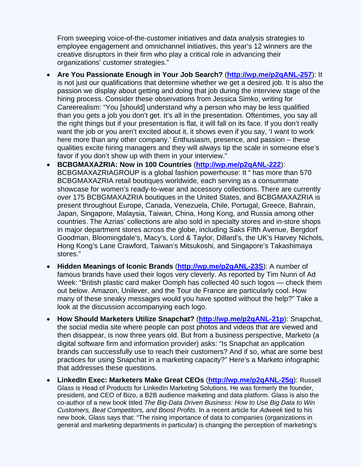From sweeping voice-of-the-customer initiatives and data analysis strategies to employee engagement and omnichannel initiatives, this year's 12 winners are the creative disruptors in their firm who play a critical role in advancing their organizations' customer strategies."

- **Are You Passionate Enough in Your Job Search?** (**[http://wp.me/p2qANL-257](http://wp.me/p2qANL-257):)**): It is not just our qualifications that determine whether we get a desired job. It is also the passion we display about getting and doing that job during the interview stage of the hiring process. Consider these observations from Jessica Simko, writing for Careerealism: "You [should] understand why a person who may be less qualified than you gets a job you don't get. It's all in the presentation. Oftentimes, you say all the right things but if your presentation is flat, it will fall on its face. If you don't really want the job or you aren't excited about it, it shows even if you say, 'I want to work here more than any other company.' Enthusiasm, presence, and passion – these qualities excite hiring managers and they will always tip the scale in someone else's favor if you don't show up with them in your interview."
- **BCBGMAXAZRIA: Now in 100 Countries** (**[http://wp.me/p2qANL-222](http://wp.me/p2qANL-222):)**): BCBGMAXAZRIAGROUP is a global fashion powerhouse: It " has more than 570 BCBGMAXAZRIA retail boutiques worldwide, each serving as a consummate showcase for women's ready-to-wear and accessory collections. There are currently over 175 BCBGMAXAZRIA boutiques in the United States, and BCBGMAXAZRIA is present throughout Europe, Canada, Venezuela, Chile, Portugal, Greece, Bahrain, Japan, Singapore, Malaysia, Taiwan, China, Hong Kong, and Russia among other countries. The Azrias' collections are also sold in specialty stores and in-store shops in major department stores across the globe, including Saks Fifth Avenue, Bergdorf Goodman, Bloomingdale's, Macy's, Lord & Taylor, Dillard's, the UK's Harvey Nichols, Hong Kong's Lane Crawford, Taiwan's Mitsukoshi, and Singapore's Takashimaya stores."
- **Hidden Meanings of Iconic Brands** (**[http://wp.me/p2qANL-23S](http://wp.me/p2qANL-23S):)**): A number of famous brands have used their logos very cleverly. As reported by Tim Nunn of Ad Week: "British plastic card maker Oomph has collected 40 such logos — check them out below. Amazon, Unilever, and the Tour de France are particularly cool. How many of these sneaky messages would you have spotted without the help?" Take a look at the discussion accompanying each logo.
- **How Should Marketers Utilize Snapchat?** (**[http://wp.me/p2qANL-21p](http://wp.me/p2qANL-21p):)**): Snapchat, the social media site where people can post photos and videos that are viewed and then disappear, is now three years old. But from a business perspective, Marketo (a digital software firm and information provider) asks: "Is Snapchat an application brands can successfully use to reach their customers? And if so, what are some best practices for using Snapchat in a marketing capacity?" Here's a Marketo infographic that addresses these questions.
- **LinkedIn Exec: Marketers Make Great CEOs** (**[http://wp.me/p2qANL-25q](http://wp.me/p2qANL-25q):)**): Russell Glass is Head of Products for LinkedIn Marketing Solutions. He was formerly the founder, president, and CEO of Bizo, a B2B audience marketing and data platform. Glass is also the co-author of a new book titled *The Big-Data Driven Business: How to Use Big Data to Win Customers, Beat Competitors, and Boost Profits*. In a recent article for *Adweek* tied to his new book, Glass says that: "The rising importance of data to companies (organizations in general and marketing departments in particular) is changing the perception of marketing's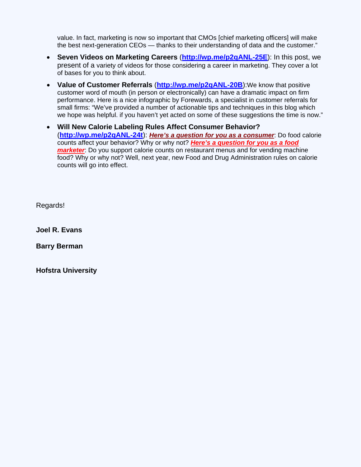value. In fact, marketing is now so important that CMOs [chief marketing officers] will make the best next-generation CEOs — thanks to their understanding of data and the customer."

- **Seven Videos on Marketing Careers** (**[http://wp.me/p2qANL-25E](http://wp.me/p2qANL-25E):)**): In this post, we present of a variety of videos for those considering a career in marketing. They cover a lot of bases for you to think about.
- **Value of Customer Referrals** (**[http://wp.me/p2qANL-20B](http://wp.me/p2qANL-20B):)**):We know that positive customer word of mouth (in person or electronically) can have a dramatic impact on firm performance. Here is a nice infographic by Forewards, a specialist in customer referrals for small firms: "We've provided a number of actionable tips and techniques in this blog which we hope was helpful. if you haven't yet acted on some of these suggestions the time is now."
- **Will New Calorie Labeling Rules Affect Consumer Behavior?**  (**[http://wp.me/p2qANL-24t](http://wp.me/p2qANL-24t):)**): *Here's a question for you as a consumer*: Do food calorie counts affect your behavior? Why or why not? *Here's a question for you as a food marketer*: Do you support calorie counts on restaurant menus and for vending machine food? Why or why not? Well, next year, new Food and Drug Administration rules on calorie counts will go into effect.

Regards!

**Joel R. Evans** 

**Barry Berman**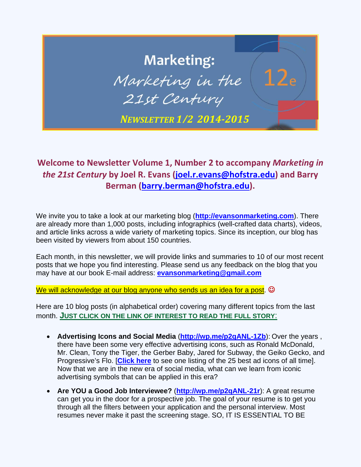### **Marketing:** Marketing in the 21st Century *NEWSLETTER 1/2 2014‐2015*

### **Welcome to Newsletter Volume 1, Number 2 to accompany** *Marketing in the 21st Century* **by Joel R. Evans ([joel.r.evans@hofstra.edu\)](mailto:joel.r.evans@hofstra.edu) and Barry Berman [\(barry.berman@hofstra.edu](mailto:barry.berman@hofstra.edu)).**

We invite you to take a look at our marketing blog (**<http://evansonmarketing.com>**). There are already more than 1,000 posts, including infographics (well-crafted data charts), videos, and article links across a wide variety of marketing topics. Since its inception, our blog has been visited by viewers from about 150 countries.

Each month, in this newsletter, we will provide links and summaries to 10 of our most recent posts that we hope you find interesting. Please send us any feedback on the blog that you may have at our book E-mail address: **[evansonmarketing@gmail.com](mailto:evansonmarketing@gmail.com)**

We will acknowledge at our blog anyone who sends us an idea for a post.  $\odot$ 

- **Advertising Icons and Social Media ([http://wp.me/p2qANL-1Zb](http://wp.me/p2qANL-1Zb):)):** Over the years, there have been some very effective advertising icons, such as Ronald McDonald, Mr. Clean, Tony the Tiger, the Gerber Baby, Jared for Subway, the Geiko Gecko, and Progressive's Flo. [**[Click here](http://www.dailyfinance.com/photos/top-25-ad-icons-of-all-time/)** to see one listing of the 25 best ad icons of all time]. Now that we are in the new era of social media, what can we learn from iconic advertising symbols that can be applied in this era?
- **Are YOU a Good Job Interviewee?** (**[http://wp.me/p2qANL-21r](http://wp.me/p2qANL-21r):)**): A great resume can get you in the door for a prospective job. The goal of your resume is to get you through all the filters between your application and the personal interview. Most resumes never make it past the screening stage. SO, IT IS ESSENTIAL TO BE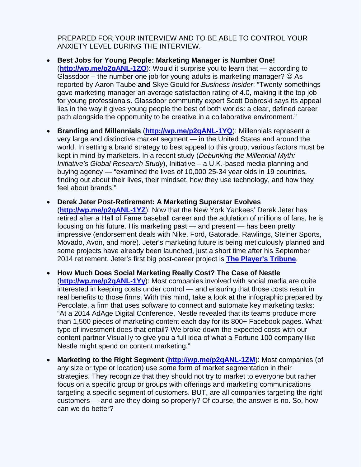PREPARED FOR YOUR INTERVIEW AND TO BE ABLE TO CONTROL YOUR ANXIETY LEVEL DURING THE INTERVIEW.

- **Best Jobs for Young People: Marketing Manager is Number One!**  (**[http://wp.me/p2qANL-1ZO](http://wp.me/p2qANL-1ZO):)**): Would it surprise you to learn that — according to Glassdoor – the number one job for young adults is marketing manager?  $\odot$  As reported by Aaron Taube **and** Skye Gould for *Business Insider*: "Twenty-somethings gave marketing manager an average satisfaction rating of 4.0, making it the top job for young professionals. Glassdoor community expert Scott Dobroski says its appeal lies in the way it gives young people the best of both worlds: a clear, defined career path alongside the opportunity to be creative in a collaborative environment."
- **Branding and Millennials** (**[http://wp.me/p2qANL-1YQ](http://wp.me/p2qANL-1YQ):)**): Millennials represent a very large and distinctive market segment — in the United States and around the world. In setting a brand strategy to best appeal to this group, various factors must be kept in mind by marketers. In a recent study (*Debunking the Millennial Myth: Initiative's Global Research Study*), Initiative – a U.K.-based media planning and buying agency — "examined the lives of 10,000 25-34 year olds in 19 countries, finding out about their lives, their mindset, how they use technology, and how they feel about brands."
- **Derek Jeter Post-Retirement: A Marketing Superstar Evolves**  (**[http://wp.me/p2qANL-1YZ](http://wp.me/p2qANL-1YZ):)**): Now that the New York Yankees' Derek Jeter has retired after a Hall of Fame baseball career and the adulation of millions of fans, he is focusing on his future. His marketing past — and present — has been pretty impressive (endorsement deals with Nike, Ford, Gatorade, Rawlings, Steiner Sports, Movado, Avon, and more). Jeter's marketing future is being meticulously planned and some projects have already been launched, just a short time after his September 2014 retirement. Jeter's first big post-career project is **[The Player's Tribune](http://www.theplayerstribune.com/)**.
- **How Much Does Social Marketing Really Cost? The Case of Nestle**  (**[http://wp.me/p2qANL-1Yy](http://wp.me/p2qANL-1Yy):)**): Most companies involved with social media are quite interested in keeping costs under control — and ensuring that those costs result in real benefits to those firms. With this mind, take a look at the infographic prepared by Percolate, a firm that uses software to connect and automate key marketing tasks: "At a 2014 AdAge Digital Conference, Nestle revealed that its teams produce more than 1,500 pieces of marketing content each day for its 800+ Facebook pages. What type of investment does that entail? We broke down the expected costs with our content partner Visual.ly to give you a full idea of what a Fortune 100 company like Nestle might spend on content marketing."
- **Marketing to the Right Segment** (**[http://wp.me/p2qANL-1ZM](http://wp.me/p2qANL-1ZM):)**): Most companies (of any size or type or location) use some form of market segmentation in their strategies. They recognize that they should not try to market to everyone but rather focus on a specific group or groups with offerings and marketing communications targeting a specific segment of customers. BUT, are all companies targeting the right customers — and are they doing so properly? Of course, the answer is no. So, how can we do better?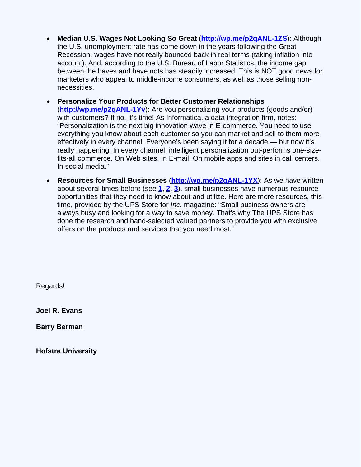- **Median U.S. Wages Not Looking So Great** (**[http://wp.me/p2qANL-1ZS](http://wp.me/p2qANL-1ZS):)**): Although the U.S. unemployment rate has come down in the years following the Great Recession, wages have not really bounced back in real terms (taking inflation into account). And, according to the U.S. Bureau of Labor Statistics, the income gap between the haves and have nots has steadily increased. This is NOT good news for marketers who appeal to middle-income consumers, as well as those selling nonnecessities.
- **Personalize Your Products for Better Customer Relationships** (**[http://wp.me/p2qANL-1Yv](http://wp.me/p2qANL-1Yv):)**): Are you personalizing your products (goods and/or) with customers? If no, it's time! As Informatica, a data integration firm, notes: "Personalization is the next big innovation wave in E-commerce. You need to use everything you know about each customer so you can market and sell to them more effectively in every channel. Everyone's been saying it for a decade — but now it's really happening. In every channel, intelligent personalization out-performs one-sizefits-all commerce. On Web sites. In E-mail. On mobile apps and sites in call centers. In social media."
- **Resources for Small Businesses** (**[http://wp.me/p2qANL-1YX](http://wp.me/p2qANL-1YX):)**): As we have written about several times before (see **[1](http://evansonmarketing.com/2014/06/02/how-to-market-a-small-business/), [2,](http://evansonmarketing.com/2012/03/14/a-groupon-alternative-aims-to-offer-small-businesses-a-better-deal/) [3](http://evansonmarketing.com/2014/07/16/resources-for-women-and-minority-business-owners/)**), small businesses have numerous resource opportunities that they need to know about and utilize. Here are more resources, this time, provided by the UPS Store for *Inc.* magazine: "Small business owners are always busy and looking for a way to save money. That's why The UPS Store has done the research and hand-selected valued partners to provide you with exclusive offers on the products and services that you need most."

Regards!

**Joel R. Evans** 

**Barry Berman**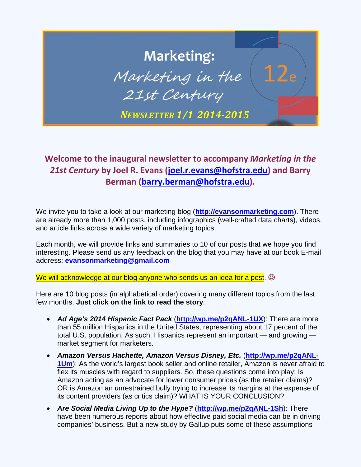

#### **Welcome to the inaugural newsletter to accompany** *Marketing in the 21st Century* **by Joel R. Evans ([joel.r.evans@hofstra.edu\)](mailto:joel.r.evans@hofstra.edu) and Barry Berman [\(barry.berman@hofstra.edu\).](mailto:barry.berman@hofstra.edu)**

We invite you to take a look at our marketing blog (**<http://evansonmarketing.com>**). There are already more than 1,000 posts, including infographics (well-crafted data charts), videos, and article links across a wide variety of marketing topics.

Each month, we will provide links and summaries to 10 of our posts that we hope you find interesting. Please send us any feedback on the blog that you may have at our book E-mail address: **[evansonmarketing@gmail.com](mailto:evansonmarketing@gmail.com)**

We will acknowledge at our blog anyone who sends us an idea for a post.  $\circledcirc$ 

Here are 10 blog posts (in alphabetical order) covering many different topics from the last few months. **Just click on the link to read the story**:

- *Ad Age's 2014 Hispanic Fact Pack* (**[http://wp.me/p2qANL-1UX](http://wp.me/p2qANL-1UX):)**): There are more than 55 million Hispanics in the United States, representing about 17 percent of the total U.S. population. As such, Hispanics represent an important — and growing market segment for marketers.
- *Amazon Versus Hachette, Amazon Versus Disney, Etc.* (**[http://wp.me/p2qANL-](http://wp.me/p2qANL-1Um):)[1Um](http://wp.me/p2qANL-1Um):)**): As the world's largest book seller and online retailer, Amazon is never afraid to flex its muscles with regard to suppliers. So, these questions come into play: Is Amazon acting as an advocate for lower consumer prices (as the retailer claims)? OR is Amazon an unrestrained bully trying to increase its margins at the expense of its content providers (as critics claim)? WHAT IS YOUR CONCLUSION?
- *Are Social Media Living Up to the Hype?* (**[http://wp.me/p2qANL-1Sh](http://wp.me/p2qANL-1Sh):)**): There have been numerous reports about how effective paid social media can be in driving companies' business. But a new study by Gallup puts some of these assumptions